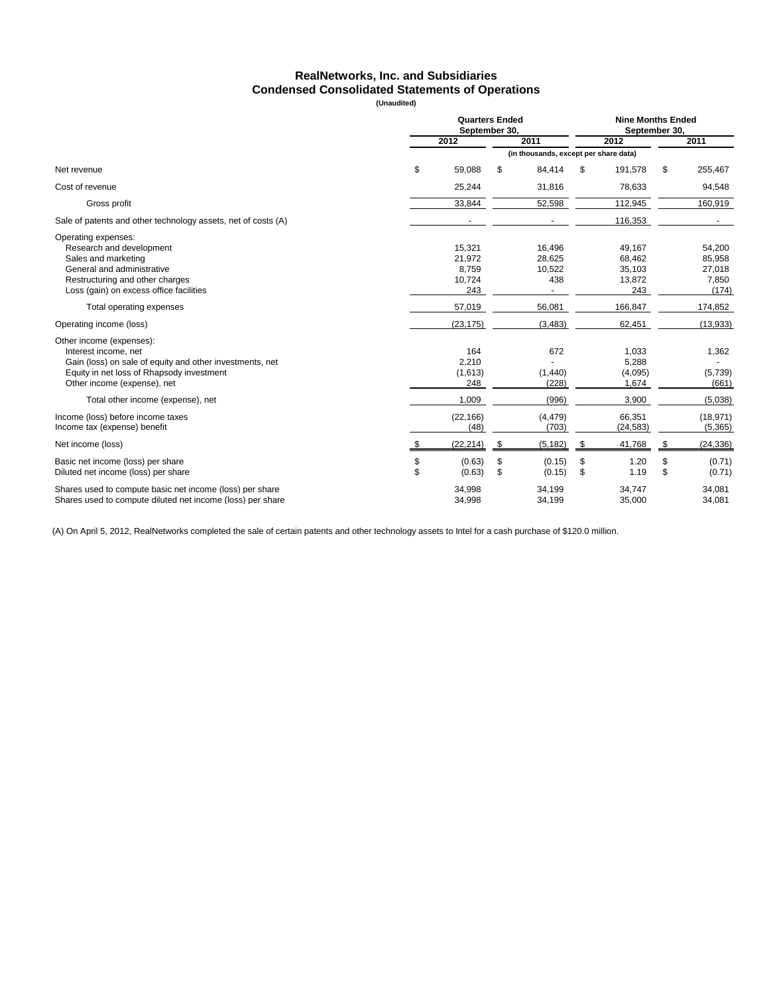### **RealNetworks, Inc. and Subsidiaries Condensed Consolidated Statements of Operations**

**(Unaudited)**

|                                                                                                                                                                                          |          | <b>Quarters Ended</b><br>September 30.     |          |                                       |          |                                             | <b>Nine Months Ended</b><br>September 30, |                                              |  |  |  |  |
|------------------------------------------------------------------------------------------------------------------------------------------------------------------------------------------|----------|--------------------------------------------|----------|---------------------------------------|----------|---------------------------------------------|-------------------------------------------|----------------------------------------------|--|--|--|--|
|                                                                                                                                                                                          |          | 2012                                       | 2011     | 2012<br>2011                          |          |                                             |                                           |                                              |  |  |  |  |
|                                                                                                                                                                                          |          |                                            |          | (in thousands, except per share data) |          |                                             |                                           |                                              |  |  |  |  |
| Net revenue                                                                                                                                                                              | \$       | 59,088                                     | \$       | 84,414                                | \$       | 191,578                                     | \$                                        | 255,467                                      |  |  |  |  |
| Cost of revenue                                                                                                                                                                          |          | 25,244                                     |          | 31,816                                |          | 78,633                                      |                                           | 94,548                                       |  |  |  |  |
| Gross profit                                                                                                                                                                             |          | 33,844                                     |          | 52,598                                |          | 112,945                                     |                                           | 160,919                                      |  |  |  |  |
| Sale of patents and other technology assets, net of costs (A)                                                                                                                            |          |                                            |          |                                       |          | 116,353                                     |                                           |                                              |  |  |  |  |
| Operating expenses:<br>Research and development<br>Sales and marketing<br>General and administrative<br>Restructuring and other charges<br>Loss (gain) on excess office facilities       |          | 15,321<br>21,972<br>8,759<br>10,724<br>243 |          | 16,496<br>28,625<br>10,522<br>438     |          | 49,167<br>68,462<br>35,103<br>13,872<br>243 |                                           | 54,200<br>85,958<br>27,018<br>7,850<br>(174) |  |  |  |  |
| Total operating expenses                                                                                                                                                                 |          | 57,019                                     |          | 56,081                                |          | 166,847                                     |                                           | 174,852                                      |  |  |  |  |
| Operating income (loss)                                                                                                                                                                  |          | (23, 175)                                  |          | (3, 483)                              |          | 62,451                                      |                                           | (13, 933)                                    |  |  |  |  |
| Other income (expenses):<br>Interest income, net<br>Gain (loss) on sale of equity and other investments, net<br>Equity in net loss of Rhapsody investment<br>Other income (expense), net |          | 164<br>2,210<br>(1,613)<br>248             |          | 672<br>(1,440)<br>(228)               |          | 1,033<br>5,288<br>(4,095)<br>1,674          |                                           | 1,362<br>(5,739)<br>(661)                    |  |  |  |  |
| Total other income (expense), net                                                                                                                                                        |          | 1,009                                      |          | (996)                                 |          | 3,900                                       |                                           | (5,038)                                      |  |  |  |  |
| Income (loss) before income taxes<br>Income tax (expense) benefit                                                                                                                        |          | (22, 166)<br>(48)                          |          | (4, 479)<br>(703)                     |          | 66,351<br>(24, 583)                         |                                           | (18, 971)<br>(5,365)                         |  |  |  |  |
| Net income (loss)                                                                                                                                                                        | \$       | (22, 214)                                  | \$       | (5, 182)                              | -\$      | 41,768                                      | \$                                        | (24, 336)                                    |  |  |  |  |
| Basic net income (loss) per share<br>Diluted net income (loss) per share                                                                                                                 | \$<br>\$ | (0.63)<br>(0.63)                           | \$<br>\$ | (0.15)<br>(0.15)                      | \$<br>\$ | 1.20<br>1.19                                | \$<br>\$                                  | (0.71)<br>(0.71)                             |  |  |  |  |
| Shares used to compute basic net income (loss) per share<br>Shares used to compute diluted net income (loss) per share                                                                   |          | 34,998<br>34.998                           |          | 34,199<br>34,199                      |          | 34,747<br>35,000                            |                                           | 34,081<br>34,081                             |  |  |  |  |

(A) On April 5, 2012, RealNetworks completed the sale of certain patents and other technology assets to Intel for a cash purchase of \$120.0 million.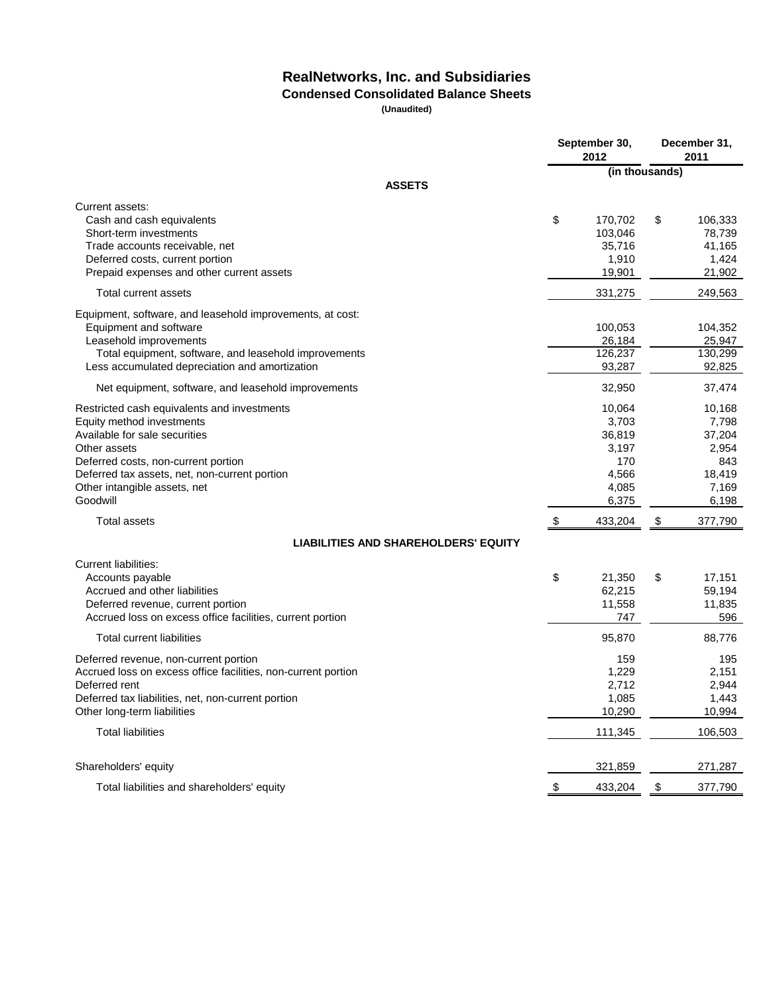# **RealNetworks, Inc. and Subsidiaries**

## **Condensed Consolidated Balance Sheets**

| (in thousands)<br><b>ASSETS</b><br>\$<br>170,702<br>\$<br>Cash and cash equivalents<br>106,333<br>103,046<br>78,739<br>Short-term investments<br>Trade accounts receivable, net<br>41,165<br>35,716<br>1,910<br>1,424<br>Deferred costs, current portion<br>19,901<br>21,902<br>Prepaid expenses and other current assets<br>331,275<br><b>Total current assets</b><br>249,563<br>Equipment and software<br>100,053<br>104,352<br>Leasehold improvements<br>26,184<br>25,947<br>126,237<br>130,299<br>Total equipment, software, and leasehold improvements<br>Less accumulated depreciation and amortization<br>93,287<br>92,825<br>Net equipment, software, and leasehold improvements<br>32,950<br>37,474<br>10,064<br>Restricted cash equivalents and investments<br>10,168<br>Equity method investments<br>3,703<br>7,798<br>36,819<br>37,204<br>3,197<br>Other assets<br>2,954<br>170<br>843<br>Deferred costs, non-current portion<br>4,566<br>18,419<br>Deferred tax assets, net, non-current portion<br>4,085<br>7,169<br>6,375<br>6,198<br>\$<br>433,204<br>\$<br>377,790<br>Total assets<br><b>LIABILITIES AND SHAREHOLDERS' EQUITY</b><br>\$<br>21,350<br>\$<br>17,151<br>Accounts payable<br>Accrued and other liabilities<br>62,215<br>59,194<br>11,558<br>11,835<br>Deferred revenue, current portion<br>Accrued loss on excess office facilities, current portion<br>747<br>596<br><b>Total current liabilities</b><br>95,870<br>88,776<br>159<br>195<br>1,229<br>2,151<br>Deferred rent<br>2,712<br>2,944<br>1,085<br>1,443<br>Deferred tax liabilities, net, non-current portion |                                                                                                        | September 30,<br>2012 | December 31,<br>2011 |  |  |
|----------------------------------------------------------------------------------------------------------------------------------------------------------------------------------------------------------------------------------------------------------------------------------------------------------------------------------------------------------------------------------------------------------------------------------------------------------------------------------------------------------------------------------------------------------------------------------------------------------------------------------------------------------------------------------------------------------------------------------------------------------------------------------------------------------------------------------------------------------------------------------------------------------------------------------------------------------------------------------------------------------------------------------------------------------------------------------------------------------------------------------------------------------------------------------------------------------------------------------------------------------------------------------------------------------------------------------------------------------------------------------------------------------------------------------------------------------------------------------------------------------------------------------------------------------------------------------------------------|--------------------------------------------------------------------------------------------------------|-----------------------|----------------------|--|--|
|                                                                                                                                                                                                                                                                                                                                                                                                                                                                                                                                                                                                                                                                                                                                                                                                                                                                                                                                                                                                                                                                                                                                                                                                                                                                                                                                                                                                                                                                                                                                                                                                    |                                                                                                        |                       |                      |  |  |
|                                                                                                                                                                                                                                                                                                                                                                                                                                                                                                                                                                                                                                                                                                                                                                                                                                                                                                                                                                                                                                                                                                                                                                                                                                                                                                                                                                                                                                                                                                                                                                                                    |                                                                                                        |                       |                      |  |  |
|                                                                                                                                                                                                                                                                                                                                                                                                                                                                                                                                                                                                                                                                                                                                                                                                                                                                                                                                                                                                                                                                                                                                                                                                                                                                                                                                                                                                                                                                                                                                                                                                    | Current assets:                                                                                        |                       |                      |  |  |
|                                                                                                                                                                                                                                                                                                                                                                                                                                                                                                                                                                                                                                                                                                                                                                                                                                                                                                                                                                                                                                                                                                                                                                                                                                                                                                                                                                                                                                                                                                                                                                                                    |                                                                                                        |                       |                      |  |  |
|                                                                                                                                                                                                                                                                                                                                                                                                                                                                                                                                                                                                                                                                                                                                                                                                                                                                                                                                                                                                                                                                                                                                                                                                                                                                                                                                                                                                                                                                                                                                                                                                    | Equipment, software, and leasehold improvements, at cost:                                              |                       |                      |  |  |
|                                                                                                                                                                                                                                                                                                                                                                                                                                                                                                                                                                                                                                                                                                                                                                                                                                                                                                                                                                                                                                                                                                                                                                                                                                                                                                                                                                                                                                                                                                                                                                                                    |                                                                                                        |                       |                      |  |  |
|                                                                                                                                                                                                                                                                                                                                                                                                                                                                                                                                                                                                                                                                                                                                                                                                                                                                                                                                                                                                                                                                                                                                                                                                                                                                                                                                                                                                                                                                                                                                                                                                    | Available for sale securities<br>Other intangible assets, net<br>Goodwill                              |                       |                      |  |  |
|                                                                                                                                                                                                                                                                                                                                                                                                                                                                                                                                                                                                                                                                                                                                                                                                                                                                                                                                                                                                                                                                                                                                                                                                                                                                                                                                                                                                                                                                                                                                                                                                    |                                                                                                        |                       |                      |  |  |
|                                                                                                                                                                                                                                                                                                                                                                                                                                                                                                                                                                                                                                                                                                                                                                                                                                                                                                                                                                                                                                                                                                                                                                                                                                                                                                                                                                                                                                                                                                                                                                                                    |                                                                                                        |                       |                      |  |  |
|                                                                                                                                                                                                                                                                                                                                                                                                                                                                                                                                                                                                                                                                                                                                                                                                                                                                                                                                                                                                                                                                                                                                                                                                                                                                                                                                                                                                                                                                                                                                                                                                    | <b>Current liabilities:</b>                                                                            |                       |                      |  |  |
|                                                                                                                                                                                                                                                                                                                                                                                                                                                                                                                                                                                                                                                                                                                                                                                                                                                                                                                                                                                                                                                                                                                                                                                                                                                                                                                                                                                                                                                                                                                                                                                                    |                                                                                                        |                       |                      |  |  |
| Other long-term liabilities<br>10,290<br>10,994                                                                                                                                                                                                                                                                                                                                                                                                                                                                                                                                                                                                                                                                                                                                                                                                                                                                                                                                                                                                                                                                                                                                                                                                                                                                                                                                                                                                                                                                                                                                                    | Deferred revenue, non-current portion<br>Accrued loss on excess office facilities, non-current portion |                       |                      |  |  |
| <b>Total liabilities</b><br>111,345<br>106,503                                                                                                                                                                                                                                                                                                                                                                                                                                                                                                                                                                                                                                                                                                                                                                                                                                                                                                                                                                                                                                                                                                                                                                                                                                                                                                                                                                                                                                                                                                                                                     |                                                                                                        |                       |                      |  |  |
| Shareholders' equity<br>321,859<br>271,287                                                                                                                                                                                                                                                                                                                                                                                                                                                                                                                                                                                                                                                                                                                                                                                                                                                                                                                                                                                                                                                                                                                                                                                                                                                                                                                                                                                                                                                                                                                                                         |                                                                                                        |                       |                      |  |  |
| Total liabilities and shareholders' equity<br>433,204<br>\$<br>377,790<br>$\frac{1}{2}$                                                                                                                                                                                                                                                                                                                                                                                                                                                                                                                                                                                                                                                                                                                                                                                                                                                                                                                                                                                                                                                                                                                                                                                                                                                                                                                                                                                                                                                                                                            |                                                                                                        |                       |                      |  |  |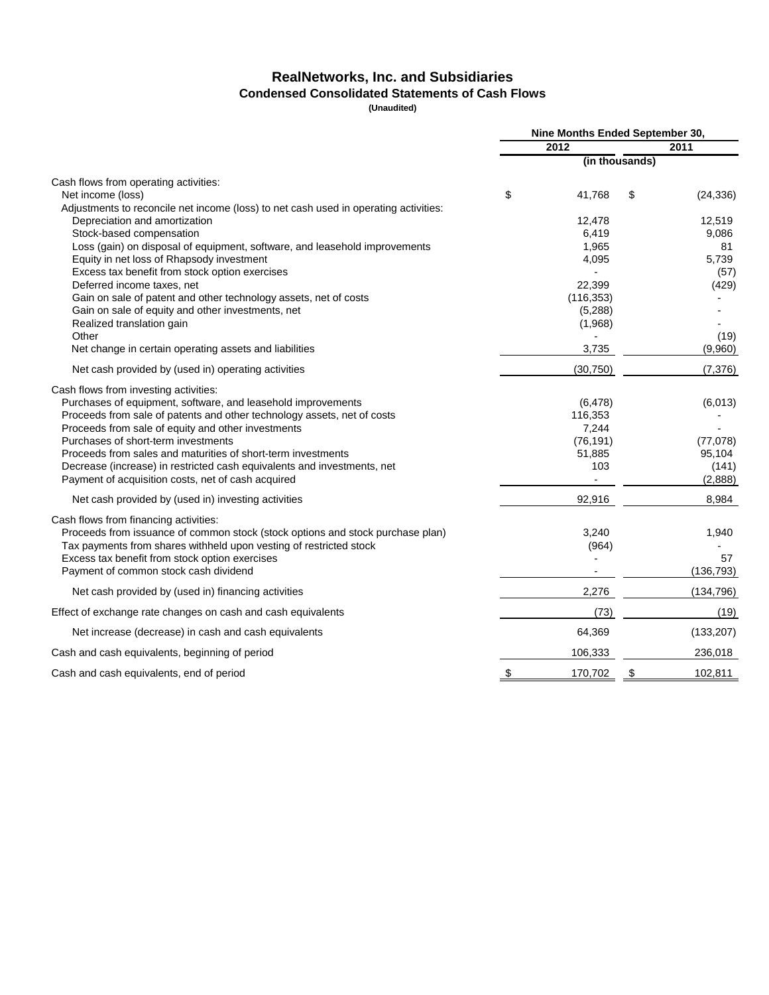## **RealNetworks, Inc. and Subsidiaries Condensed Consolidated Statements of Cash Flows**

|                                                                                      |    | Nine Months Ended September 30, |    |            |
|--------------------------------------------------------------------------------------|----|---------------------------------|----|------------|
|                                                                                      |    | 2012                            |    | 2011       |
|                                                                                      |    | (in thousands)                  |    |            |
| Cash flows from operating activities:                                                |    |                                 |    |            |
| Net income (loss)                                                                    | \$ | 41,768                          | \$ | (24, 336)  |
| Adjustments to reconcile net income (loss) to net cash used in operating activities: |    |                                 |    |            |
| Depreciation and amortization                                                        |    | 12,478                          |    | 12,519     |
| Stock-based compensation                                                             |    | 6,419                           |    | 9,086      |
| Loss (gain) on disposal of equipment, software, and leasehold improvements           |    | 1,965                           |    | 81         |
| Equity in net loss of Rhapsody investment                                            |    | 4,095                           |    | 5,739      |
| Excess tax benefit from stock option exercises                                       |    |                                 |    | (57)       |
| Deferred income taxes, net                                                           |    | 22,399                          |    | (429)      |
| Gain on sale of patent and other technology assets, net of costs                     |    | (116, 353)                      |    |            |
| Gain on sale of equity and other investments, net<br>Realized translation gain       |    | (5,288)<br>(1,968)              |    |            |
| Other                                                                                |    |                                 |    | (19)       |
| Net change in certain operating assets and liabilities                               |    | 3,735                           |    | (9,960)    |
| Net cash provided by (used in) operating activities                                  |    | (30, 750)                       |    | (7, 376)   |
| Cash flows from investing activities:                                                |    |                                 |    |            |
| Purchases of equipment, software, and leasehold improvements                         |    | (6, 478)                        |    | (6,013)    |
| Proceeds from sale of patents and other technology assets, net of costs              |    | 116,353                         |    |            |
| Proceeds from sale of equity and other investments                                   |    | 7,244                           |    |            |
| Purchases of short-term investments                                                  |    | (76, 191)                       |    | (77,078)   |
| Proceeds from sales and maturities of short-term investments                         |    | 51,885                          |    | 95,104     |
| Decrease (increase) in restricted cash equivalents and investments, net              |    | 103                             |    | (141)      |
| Payment of acquisition costs, net of cash acquired                                   |    |                                 |    | (2,888)    |
| Net cash provided by (used in) investing activities                                  |    | 92,916                          |    | 8,984      |
| Cash flows from financing activities:                                                |    |                                 |    |            |
| Proceeds from issuance of common stock (stock options and stock purchase plan)       |    | 3,240                           |    | 1,940      |
| Tax payments from shares withheld upon vesting of restricted stock                   |    | (964)                           |    |            |
| Excess tax benefit from stock option exercises                                       |    |                                 |    | 57         |
| Payment of common stock cash dividend                                                |    |                                 |    | (136, 793) |
| Net cash provided by (used in) financing activities                                  |    | 2,276                           |    | (134, 796) |
| Effect of exchange rate changes on cash and cash equivalents                         |    | (73)                            |    | (19)       |
| Net increase (decrease) in cash and cash equivalents                                 |    | 64,369                          |    | (133, 207) |
| Cash and cash equivalents, beginning of period                                       |    | 106,333                         |    | 236,018    |
| Cash and cash equivalents, end of period                                             | \$ | 170,702                         | \$ | 102,811    |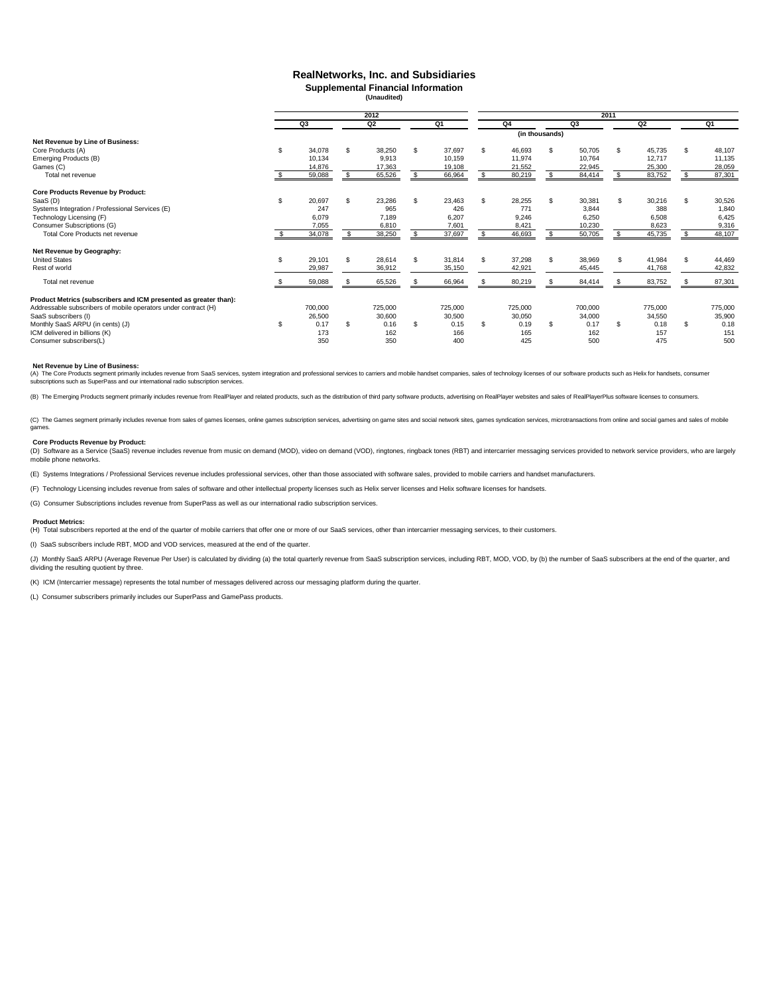### **RealNetworks, Inc. and Subsidiaries Supplemental Financial Information**

**(Unaudited)**

|                                                                  |    | 2012    |     |         |     | 2011    |     |         |                |         |     |         |     |         |  |
|------------------------------------------------------------------|----|---------|-----|---------|-----|---------|-----|---------|----------------|---------|-----|---------|-----|---------|--|
|                                                                  |    | Q3      |     | Q2      |     | Q1      |     | Q4      |                | Q3      |     | Q2      |     | Q1      |  |
|                                                                  |    |         |     |         |     |         |     |         | (in thousands) |         |     |         |     |         |  |
| Net Revenue by Line of Business:                                 |    |         |     |         |     |         |     |         |                |         |     |         |     |         |  |
| Core Products (A)                                                | S  | 34,078  | S   | 38,250  | \$. | 37.697  | \$. | 46,693  | \$             | 50,705  | \$  | 45,735  | \$  | 48,107  |  |
| Emerging Products (B)                                            |    | 10,134  |     | 9,913   |     | 10.159  |     | 11,974  |                | 10.764  |     | 12,717  |     | 11,135  |  |
| Games (C)                                                        |    | 14,876  |     | 17,363  |     | 19,108  |     | 21,552  |                | 22,945  |     | 25,300  |     | 28,059  |  |
| Total net revenue                                                |    | 59,088  | \$. | 65,526  |     | 66,964  |     | 80,219  | \$.            | 84,414  | \$. | 83,752  |     | 87,301  |  |
| <b>Core Products Revenue by Product:</b>                         |    |         |     |         |     |         |     |         |                |         |     |         |     |         |  |
| SaaS (D)                                                         | S  | 20,697  | S.  | 23,286  | \$. | 23.463  | £.  | 28,255  | \$             | 30,381  | s.  | 30,216  | \$. | 30,526  |  |
| Systems Integration / Professional Services (E)                  |    | 247     |     | 965     |     | 426     |     | 771     |                | 3.844   |     | 388     |     | 1,840   |  |
| Technology Licensing (F)                                         |    | 6,079   |     | 7,189   |     | 6,207   |     | 9,246   |                | 6,250   |     | 6,508   |     | 6,425   |  |
| Consumer Subscriptions (G)                                       |    | 7,055   |     | 6,810   |     | 7,601   |     | 8,421   |                | 10,230  |     | 8,623   |     | 9,316   |  |
| <b>Total Core Products net revenue</b>                           |    | 34,078  |     | 38,250  |     | 37,697  |     | 46,693  |                | 50,705  |     | 45,735  |     | 48,107  |  |
| Net Revenue by Geography:                                        |    |         |     |         |     |         |     |         |                |         |     |         |     |         |  |
| <b>United States</b>                                             | S  | 29,101  | S   | 28,614  | \$. | 31.814  | £.  | 37,298  |                | 38,969  | \$  | 41,984  | \$. | 44,469  |  |
| Rest of world                                                    |    | 29,987  |     | 36,912  |     | 35,150  |     | 42.921  |                | 45.445  |     | 41,768  |     | 42,832  |  |
| Total net revenue                                                |    | 59,088  |     | 65,526  |     | 66,964  |     | 80,219  |                | 84,414  |     | 83,752  |     | 87,301  |  |
| Product Metrics (subscribers and ICM presented as greater than): |    |         |     |         |     |         |     |         |                |         |     |         |     |         |  |
| Addressable subscribers of mobile operators under contract (H)   |    | 700,000 |     | 725,000 |     | 725,000 |     | 725,000 |                | 700,000 |     | 775,000 |     | 775,000 |  |
| SaaS subscribers (I)                                             |    | 26,500  |     | 30,600  |     | 30,500  |     | 30,050  |                | 34,000  |     | 34,550  |     | 35,900  |  |
| Monthly SaaS ARPU (in cents) (J)                                 | £. | 0.17    | \$. | 0.16    | \$  | 0.15    | \$. | 0.19    | \$             | 0.17    | \$  | 0.18    | \$. | 0.18    |  |
| ICM delivered in billions (K)                                    |    | 173     |     | 162     |     | 166     |     | 165     |                | 162     |     | 157     |     | 151     |  |
| Consumer subscribers(L)                                          |    | 350     |     | 350     |     | 400     |     | 425     |                | 500     |     | 475     |     | 500     |  |

#### **Net Revenue by Line of Business:**

(A) The Core Products segment primarily includes revenue from SaaS services, system integration and professional services to carriers and mobile handset companies, sales of technology licenses of our software products such

(B) The Emerging Products segment primarily includes revenue from RealPlayer and related products, such as the distribution of third party software products, advertising on RealPlayer websites and sales of RealPlayerPlus s

(C) The Games segment primarily includes revenue from sales of games licenses, online games subscription services, advertising on game sites and social network sites, games syndication services, microtransactions from onli ga

#### **Core Products Revenue by Product:**

(D) Software as a Service (SaaS) revenue includes revenue from music on demand (MOD), video on demand (VOD), ringtones, ringback tones (RBT) and intercarrier messaging services provided to network service providers, who ar mobile phone networks.

(E) Systems Integrations / Professional Services revenue includes professional services, other than those associated with software sales, provided to mobile carriers and handset manufacturers.

(F) Technology Licensing includes revenue from sales of software and other intellectual property licenses such as Helix server licenses and Helix software licenses for handsets.

(G) Consumer Subscriptions includes revenue from SuperPass as well as our international radio subscription services.

#### **Product Metrics:**

(H) Total subscribers reported at the end of the quarter of mobile carriers that offer one or more of our SaaS services, other than intercarrier messaging services, to their customers.

(I) SaaS subscribers include RBT, MOD and VOD services, measured at the end of the quarter.

(J) Monthly SaaS ARPU (Average Revenue Per User) is calculated by dividing (a) the total quarterly revenue from SaaS subscription services, including RBT, MOD, VOD, by (b) the number of SaaS subscribers at the end of the q dividing the resulting quotient by three.

(K) ICM (Intercarrier message) represents the total number of messages delivered across our messaging platform during the quarter.

(L) Consumer subscribers primarily includes our SuperPass and GamePass products.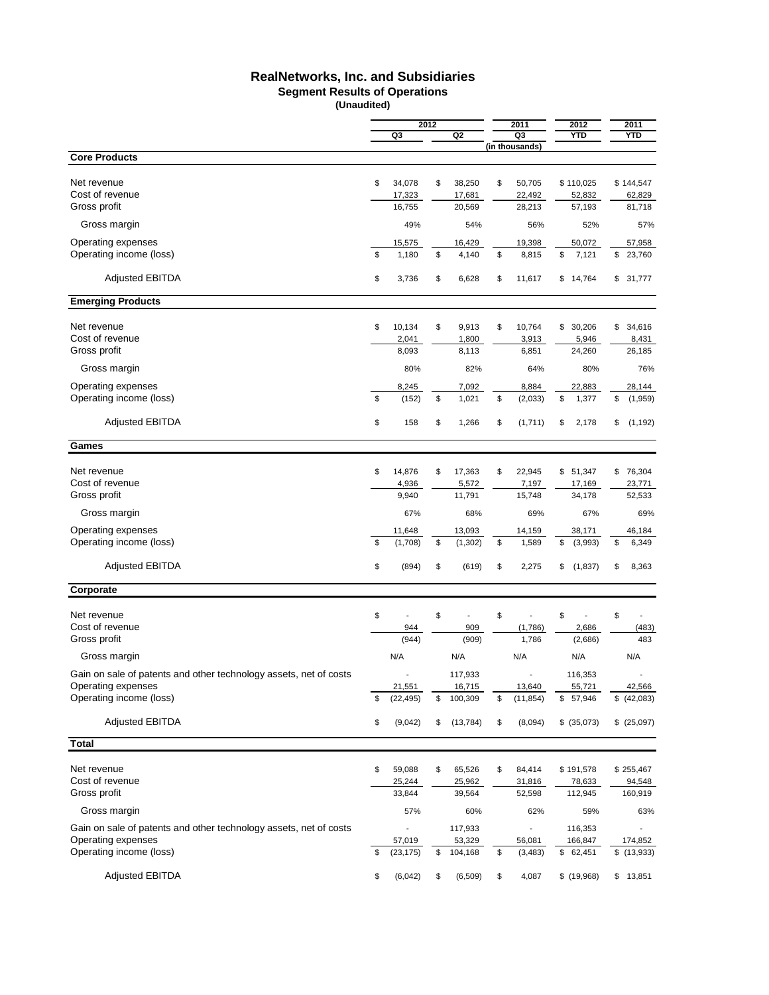# **RealNetworks, Inc. and Subsidiaries**

### **Segment Results of Operations**

|                                                                   |    |                     | 2012 |                   | 2011                      | 2012                  | 2011                   |
|-------------------------------------------------------------------|----|---------------------|------|-------------------|---------------------------|-----------------------|------------------------|
|                                                                   |    | Q3                  |      | Q2                | Q3                        | <b>YTD</b>            | <b>YTD</b>             |
|                                                                   |    |                     |      |                   | (in thousands)            |                       |                        |
| <b>Core Products</b>                                              |    |                     |      |                   |                           |                       |                        |
| Net revenue                                                       | \$ | 34,078              | \$   | 38,250            | \$<br>50,705              | \$110,025             | \$144,547              |
| Cost of revenue                                                   |    | 17,323              |      | 17,681            | 22,492                    | 52,832                | 62,829                 |
| Gross profit                                                      |    | 16,755              |      | 20,569            | 28,213                    | 57,193                | 81,718                 |
| Gross margin                                                      |    | 49%                 |      | 54%               | 56%                       | 52%                   | 57%                    |
|                                                                   |    |                     |      |                   |                           |                       |                        |
| Operating expenses<br>Operating income (loss)                     | \$ | 15,575<br>1,180     | \$   | 16,429<br>4,140   | \$<br>19,398<br>8,815     | 50,072<br>\$<br>7,121 | \$<br>57,958<br>23,760 |
|                                                                   |    |                     |      |                   |                           |                       |                        |
| <b>Adjusted EBITDA</b>                                            | \$ | 3,736               | \$   | 6,628             | \$<br>11,617              | \$14,764              | \$<br>31,777           |
| <b>Emerging Products</b>                                          |    |                     |      |                   |                           |                       |                        |
|                                                                   |    |                     |      |                   |                           |                       |                        |
| Net revenue<br>Cost of revenue                                    | \$ | 10,134<br>2,041     | \$   | 9,913<br>1,800    | \$<br>10,764<br>3,913     | \$30,206<br>5,946     | \$<br>34,616           |
| Gross profit                                                      |    | 8,093               |      | 8,113             | 6,851                     | 24,260                | 8,431<br>26,185        |
|                                                                   |    |                     |      |                   |                           |                       |                        |
| Gross margin                                                      |    | 80%                 |      | 82%               | 64%                       | 80%                   | 76%                    |
| Operating expenses                                                |    | 8,245               |      | 7,092             | 8,884                     | 22,883                | 28,144                 |
| Operating income (loss)                                           | \$ | (152)               | \$   | 1,021             | \$<br>(2,033)             | \$<br>1,377           | \$<br>(1,959)          |
| <b>Adjusted EBITDA</b>                                            | \$ | 158                 | \$   | 1,266             | \$<br>(1,711)             | \$<br>2,178           | \$<br>(1, 192)         |
| Games                                                             |    |                     |      |                   |                           |                       |                        |
|                                                                   |    |                     |      |                   |                           |                       |                        |
| Net revenue                                                       | \$ | 14,876              | \$   | 17,363            | \$<br>22,945              | \$51,347              | \$<br>76,304           |
| Cost of revenue<br>Gross profit                                   |    | 4,936<br>9,940      |      | 5,572<br>11,791   | 7,197<br>15,748           | 17,169<br>34,178      | 23,771<br>52,533       |
|                                                                   |    |                     |      |                   |                           |                       |                        |
| Gross margin                                                      |    | 67%                 |      | 68%               | 69%                       | 67%                   | 69%                    |
| Operating expenses                                                |    | 11,648              |      | 13,093            | 14,159                    | 38,171                | 46,184                 |
| Operating income (loss)                                           | \$ | (1,708)             | \$   | (1, 302)          | \$<br>1,589               | \$<br>(3,993)         | \$<br>6,349            |
| <b>Adjusted EBITDA</b>                                            | \$ | (894)               | \$   | (619)             | \$<br>2,275               | \$<br>(1,837)         | \$<br>8,363            |
| Corporate                                                         |    |                     |      |                   |                           |                       |                        |
| Net revenue                                                       | \$ | ÷,                  | \$   | ÷.                | \$<br>L,                  | \$<br>÷,              | \$                     |
| Cost of revenue                                                   |    | 944                 |      | 909               | (1,786)                   | 2,686                 | (483)                  |
| Gross profit                                                      |    | (944)               |      | (909)             | 1,786                     | (2,686)               | 483                    |
| Gross margin                                                      |    | N/A                 |      | N/A               | N/A                       | N/A                   | N/A                    |
|                                                                   |    |                     |      |                   |                           |                       |                        |
| Gain on sale of patents and other technology assets, net of costs |    |                     |      | 117.933           |                           | 116,353               |                        |
| Operating expenses<br>Operating income (loss)                     | \$ | 21,551<br>(22, 495) | \$   | 16,715<br>100,309 | \$<br>13,640<br>(11, 854) | 55,721<br>\$57,946    | 42,566<br>\$ (42,083)  |
|                                                                   |    |                     |      |                   |                           |                       |                        |
| <b>Adjusted EBITDA</b>                                            | \$ | (9,042)             | \$   | (13, 784)         | \$<br>(8,094)             | \$ (35,073)           | \$ (25,097)            |
| <b>Total</b>                                                      |    |                     |      |                   |                           |                       |                        |
| Net revenue                                                       | \$ | 59,088              | \$   | 65,526            | \$<br>84,414              | \$191,578             | \$255,467              |
| Cost of revenue                                                   |    | 25,244              |      | 25,962            | 31,816                    | 78,633                | 94,548                 |
| Gross profit                                                      |    | 33,844              |      | 39,564            | 52,598                    | 112,945               | 160,919                |
| Gross margin                                                      |    | 57%                 |      | 60%               | 62%                       | 59%                   | 63%                    |
|                                                                   |    |                     |      |                   |                           |                       |                        |
| Gain on sale of patents and other technology assets, net of costs |    |                     |      | 117,933           | $\overline{\phantom{a}}$  | 116,353               |                        |
| Operating expenses<br>Operating income (loss)                     |    | 57,019              |      | 53,329            | 56,081                    | 166,847               | 174,852                |
|                                                                   | \$ | (23, 175)           | \$   | 104,168           | \$<br>(3, 483)            | \$62,451              | \$(13,933)             |
| <b>Adjusted EBITDA</b>                                            | \$ | (6,042)             | \$   | (6, 509)          | \$<br>4,087               | \$(19,968)            | \$<br>13,851           |